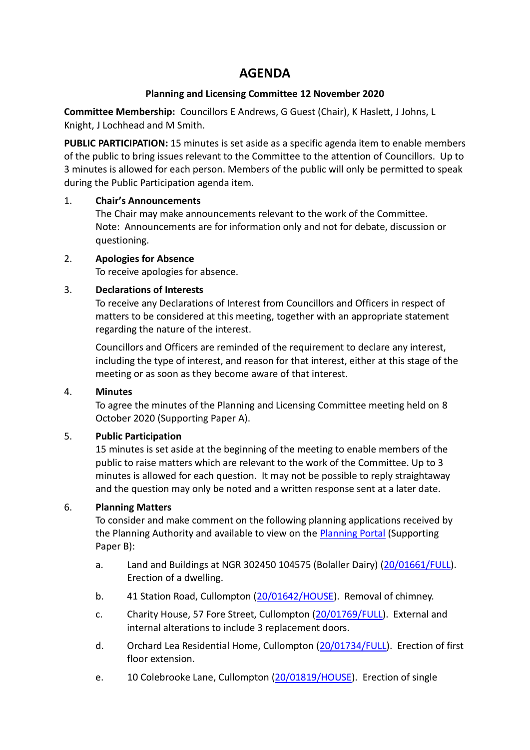# **AGENDA**

# **Planning and Licensing Committee 12 November 2020**

**Committee Membership:** Councillors E Andrews, G Guest (Chair), K Haslett, J Johns, L Knight, J Lochhead and M Smith.

**PUBLIC PARTICIPATION:** 15 minutes is set aside as a specific agenda item to enable members of the public to bring issues relevant to the Committee to the attention of Councillors. Up to 3 minutes is allowed for each person. Members of the public will only be permitted to speak during the Public Participation agenda item.

## 1. **Chair's Announcements**

The Chair may make announcements relevant to the work of the Committee. Note: Announcements are for information only and not for debate, discussion or questioning.

## 2. **Apologies for Absence**

To receive apologies for absence.

## 3. **Declarations of Interests**

To receive any Declarations of Interest from Councillors and Officers in respect of matters to be considered at this meeting, together with an appropriate statement regarding the nature of the interest.

Councillors and Officers are reminded of the requirement to declare any interest, including the type of interest, and reason for that interest, either at this stage of the meeting or as soon as they become aware of that interest.

## 4. **Minutes**

To agree the minutes of the Planning and Licensing Committee meeting held on 8 October 2020 (Supporting Paper A).

# 5. **Public Participation**

15 minutes is set aside at the beginning of the meeting to enable members of the public to raise matters which are relevant to the work of the Committee. Up to 3 minutes is allowed for each question. It may not be possible to reply straightaway and the question may only be noted and a written response sent at a later date.

# 6. **Planning Matters**

To consider and make comment on the following planning applications received by the Planning Authority and available to view on the [Planning Portal](https://planning.middevon.gov.uk/online-applications/) (Supporting Paper B):

- a. Land and Buildings at NGR 302450 104575 (Bolaller Dairy) [\(20/01661/FULL\)](https://planning.middevon.gov.uk/online-applications/applicationDetails.do?activeTab=documents&keyVal=QI301RKS05K00). Erection of a dwelling.
- b. 41 Station Road, Cullompton [\(20/01642/HOUSE\)](https://planning.middevon.gov.uk/online-applications/applicationDetails.do?activeTab=documents&keyVal=QHVOKCKS07T00). Removal of chimney.
- c. Charity House, 57 Fore Street, Cullompton [\(20/01769/FULL\)](https://planning.middevon.gov.uk/online-applications/applicationDetails.do?activeTab=documents&keyVal=QIV5G4KS05K00). External and internal alterations to include 3 replacement doors.
- d. Orchard Lea Residential Home, Cullompton [\(20/01734/FULL\)](https://planning.middevon.gov.uk/online-applications/applicationDetails.do?activeTab=documents&keyVal=QIJQWIKS05K00). Erection of first floor extension.
- e. 10 Colebrooke Lane, Cullompton [\(20/01819/HOUSE\)](https://planning.middevon.gov.uk/online-applications/applicationDetails.do?activeTab=documents&keyVal=QJ7UVFKS05K00). Erection of single